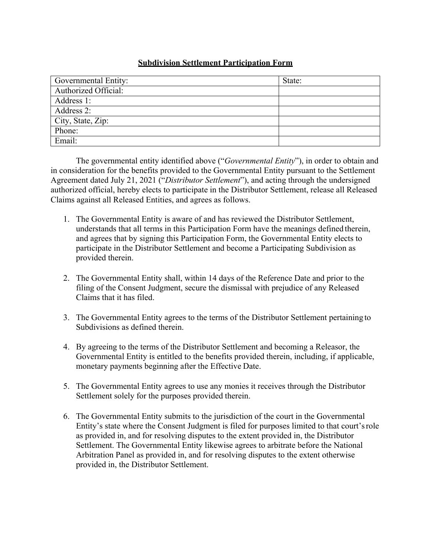## **Subdivision Settlement Participation Form**

| Governmental Entity: | State: |
|----------------------|--------|
| Authorized Official: |        |
| Address 1:           |        |
| Address 2:           |        |
| City, State, Zip:    |        |
| Phone:               |        |
| Email:               |        |

The governmental entity identified above ("*Governmental Entity*"), in order to obtain and in consideration for the benefits provided to the Governmental Entity pursuant to the Settlement Agreement dated July 21, 2021 ("*Distributor Settlement*"), and acting through the undersigned authorized official, hereby elects to participate in the Distributor Settlement, release all Released Claims against all Released Entities, and agrees as follows.

- 1. The Governmental Entity is aware of and has reviewed the Distributor Settlement, understands that all terms in this Participation Form have the meanings defined therein, and agrees that by signing this Participation Form, the Governmental Entity elects to participate in the Distributor Settlement and become a Participating Subdivision as provided therein.
- 2. The Governmental Entity shall, within 14 days of the Reference Date and prior to the filing of the Consent Judgment, secure the dismissal with prejudice of any Released Claims that it has filed.
- 3. The Governmental Entity agrees to the terms of the Distributor Settlement pertaining to Subdivisions as defined therein.
- 4. By agreeing to the terms of the Distributor Settlement and becoming a Releasor, the Governmental Entity is entitled to the benefits provided therein, including, if applicable, monetary payments beginning after the Effective Date.
- 5. The Governmental Entity agrees to use any monies it receives through the Distributor Settlement solely for the purposes provided therein.
- 6. The Governmental Entity submits to the jurisdiction of the court in the Governmental Entity's state where the Consent Judgment is filed for purposes limited to that court's role as provided in, and for resolving disputes to the extent provided in, the Distributor Settlement. The Governmental Entity likewise agrees to arbitrate before the National Arbitration Panel as provided in, and for resolving disputes to the extent otherwise provided in, the Distributor Settlement.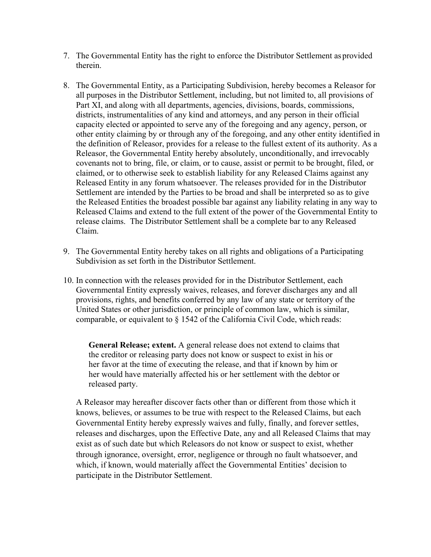- 7. The Governmental Entity has the right to enforce the Distributor Settlement as provided therein.
- 8. The Governmental Entity, as a Participating Subdivision, hereby becomes a Releasor for all purposes in the Distributor Settlement, including, but not limited to, all provisions of Part XI, and along with all departments, agencies, divisions, boards, commissions, districts, instrumentalities of any kind and attorneys, and any person in their official capacity elected or appointed to serve any of the foregoing and any agency, person, or other entity claiming by or through any of the foregoing, and any other entity identified in the definition of Releasor, provides for a release to the fullest extent of its authority. As a Releasor, the Governmental Entity hereby absolutely, unconditionally, and irrevocably covenants not to bring, file, or claim, or to cause, assist or permit to be brought, filed, or claimed, or to otherwise seek to establish liability for any Released Claims against any Released Entity in any forum whatsoever. The releases provided for in the Distributor Settlement are intended by the Parties to be broad and shall be interpreted so as to give the Released Entities the broadest possible bar against any liability relating in any way to Released Claims and extend to the full extent of the power of the Governmental Entity to release claims. The Distributor Settlement shall be a complete bar to any Released Claim.
- 9. The Governmental Entity hereby takes on all rights and obligations of a Participating Subdivision as set forth in the Distributor Settlement.
- 10. In connection with the releases provided for in the Distributor Settlement, each Governmental Entity expressly waives, releases, and forever discharges any and all provisions, rights, and benefits conferred by any law of any state or territory of the United States or other jurisdiction, or principle of common law, which is similar, comparable, or equivalent to § 1542 of the California Civil Code, which reads:

**General Release; extent.** A general release does not extend to claims that the creditor or releasing party does not know or suspect to exist in his or her favor at the time of executing the release, and that if known by him or her would have materially affected his or her settlement with the debtor or released party.

A Releasor may hereafter discover facts other than or different from those which it knows, believes, or assumes to be true with respect to the Released Claims, but each Governmental Entity hereby expressly waives and fully, finally, and forever settles, releases and discharges, upon the Effective Date, any and all Released Claims that may exist as of such date but which Releasors do not know or suspect to exist, whether through ignorance, oversight, error, negligence or through no fault whatsoever, and which, if known, would materially affect the Governmental Entities' decision to participate in the Distributor Settlement.